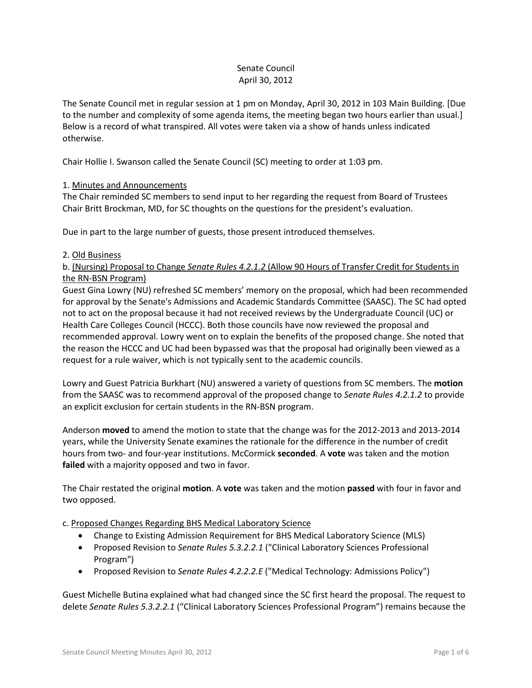## Senate Council April 30, 2012

The Senate Council met in regular session at 1 pm on Monday, April 30, 2012 in 103 Main Building. [Due to the number and complexity of some agenda items, the meeting began two hours earlier than usual.] Below is a record of what transpired. All votes were taken via a show of hands unless indicated otherwise.

Chair Hollie I. Swanson called the Senate Council (SC) meeting to order at 1:03 pm.

## 1. Minutes and Announcements

The Chair reminded SC members to send input to her regarding the request from Board of Trustees Chair Britt Brockman, MD, for SC thoughts on the questions for the president's evaluation.

Due in part to the large number of guests, those present introduced themselves.

## 2. Old Business

b. (Nursing) Proposal to Change *Senate Rules 4.2.1.2* (Allow 90 Hours of Transfer Credit for Students in the RN-BSN Program)

Guest Gina Lowry (NU) refreshed SC members' memory on the proposal, which had been recommended for approval by the Senate's Admissions and Academic Standards Committee (SAASC). The SC had opted not to act on the proposal because it had not received reviews by the Undergraduate Council (UC) or Health Care Colleges Council (HCCC). Both those councils have now reviewed the proposal and recommended approval. Lowry went on to explain the benefits of the proposed change. She noted that the reason the HCCC and UC had been bypassed was that the proposal had originally been viewed as a request for a rule waiver, which is not typically sent to the academic councils.

Lowry and Guest Patricia Burkhart (NU) answered a variety of questions from SC members. The **motion** from the SAASC was to recommend approval of the proposed change to *Senate Rules 4.2.1.2* to provide an explicit exclusion for certain students in the RN-BSN program.

Anderson **moved** to amend the motion to state that the change was for the 2012-2013 and 2013-2014 years, while the University Senate examines the rationale for the difference in the number of credit hours from two- and four-year institutions. McCormick **seconded**. A **vote** was taken and the motion **failed** with a majority opposed and two in favor.

The Chair restated the original **motion**. A **vote** was taken and the motion **passed** with four in favor and two opposed.

c. Proposed Changes Regarding BHS Medical Laboratory Science

- Change to Existing Admission Requirement for BHS Medical Laboratory Science (MLS)
- Proposed Revision to *Senate Rules 5.3.2.2.1* ("Clinical Laboratory Sciences Professional Program")
- Proposed Revision to *Senate Rules 4.2.2.2.E* ("Medical Technology: Admissions Policy")

Guest Michelle Butina explained what had changed since the SC first heard the proposal. The request to delete *Senate Rules 5.3.2.2.1* ("Clinical Laboratory Sciences Professional Program") remains because the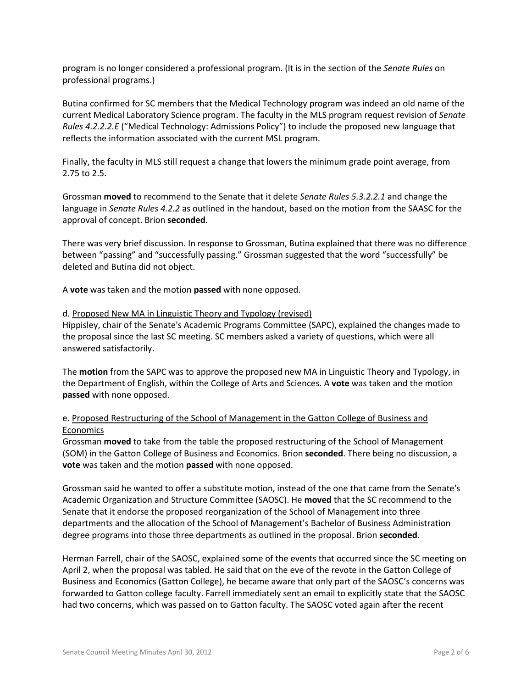program is no longer considered a professional program. (It is in the section of the *Senate Rules* on professional programs.)

Butina confirmed for SC members that the Medical Technology program was indeed an old name of the current Medical Laboratory Science program. The faculty in the MLS program request revision of *Senate Rules 4.2.2.2.E* ("Medical Technology: Admissions Policy") to include the proposed new language that reflects the information associated with the current MSL program.

Finally, the faculty in MLS still request a change that lowers the minimum grade point average, from 2.75 to 2.5.

Grossman **moved** to recommend to the Senate that it delete *Senate Rules 5.3.2.2.1* and change the language in *Senate Rules 4.2.2* as outlined in the handout, based on the motion from the SAASC for the approval of concept. Brion **seconded**.

There was very brief discussion. In response to Grossman, Butina explained that there was no difference between "passing" and "successfully passing." Grossman suggested that the word "successfully" be deleted and Butina did not object.

A **vote** was taken and the motion **passed** with none opposed.

#### d. Proposed New MA in Linguistic Theory and Typology (revised)

Hippisley, chair of the Senate's Academic Programs Committee (SAPC), explained the changes made to the proposal since the last SC meeting. SC members asked a variety of questions, which were all answered satisfactorily.

The **motion** from the SAPC was to approve the proposed new MA in Linguistic Theory and Typology, in the Department of English, within the College of Arts and Sciences. A **vote** was taken and the motion **passed** with none opposed.

## e. Proposed Restructuring of the School of Management in the Gatton College of Business and Economics

Grossman **moved** to take from the table the proposed restructuring of the School of Management (SOM) in the Gatton College of Business and Economics. Brion **seconded**. There being no discussion, a **vote** was taken and the motion **passed** with none opposed.

Grossman said he wanted to offer a substitute motion, instead of the one that came from the Senate's Academic Organization and Structure Committee (SAOSC). He **moved** that the SC recommend to the Senate that it endorse the proposed reorganization of the School of Management into three departments and the allocation of the School of Management's Bachelor of Business Administration degree programs into those three departments as outlined in the proposal. Brion **seconded**.

Herman Farrell, chair of the SAOSC, explained some of the events that occurred since the SC meeting on April 2, when the proposal was tabled. He said that on the eve of the revote in the Gatton College of Business and Economics (Gatton College), he became aware that only part of the SAOSC's concerns was forwarded to Gatton college faculty. Farrell immediately sent an email to explicitly state that the SAOSC had two concerns, which was passed on to Gatton faculty. The SAOSC voted again after the recent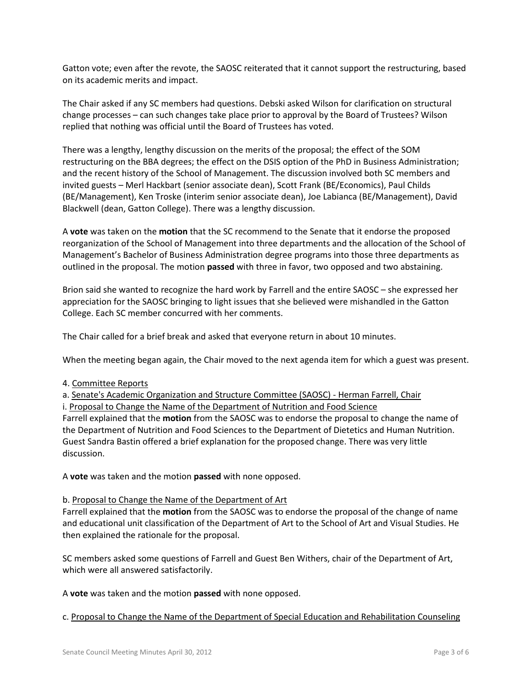Gatton vote; even after the revote, the SAOSC reiterated that it cannot support the restructuring, based on its academic merits and impact.

The Chair asked if any SC members had questions. Debski asked Wilson for clarification on structural change processes – can such changes take place prior to approval by the Board of Trustees? Wilson replied that nothing was official until the Board of Trustees has voted.

There was a lengthy, lengthy discussion on the merits of the proposal; the effect of the SOM restructuring on the BBA degrees; the effect on the DSIS option of the PhD in Business Administration; and the recent history of the School of Management. The discussion involved both SC members and invited guests – Merl Hackbart (senior associate dean), Scott Frank (BE/Economics), Paul Childs (BE/Management), Ken Troske (interim senior associate dean), Joe Labianca (BE/Management), David Blackwell (dean, Gatton College). There was a lengthy discussion.

A **vote** was taken on the **motion** that the SC recommend to the Senate that it endorse the proposed reorganization of the School of Management into three departments and the allocation of the School of Management's Bachelor of Business Administration degree programs into those three departments as outlined in the proposal. The motion **passed** with three in favor, two opposed and two abstaining.

Brion said she wanted to recognize the hard work by Farrell and the entire SAOSC – she expressed her appreciation for the SAOSC bringing to light issues that she believed were mishandled in the Gatton College. Each SC member concurred with her comments.

The Chair called for a brief break and asked that everyone return in about 10 minutes.

When the meeting began again, the Chair moved to the next agenda item for which a guest was present.

4. Committee Reports

a. Senate's Academic Organization and Structure Committee (SAOSC) - Herman Farrell, Chair

i. Proposal to Change the Name of the Department of Nutrition and Food Science Farrell explained that the **motion** from the SAOSC was to endorse the proposal to change the name of the Department of Nutrition and Food Sciences to the Department of Dietetics and Human Nutrition. Guest Sandra Bastin offered a brief explanation for the proposed change. There was very little discussion.

A **vote** was taken and the motion **passed** with none opposed.

#### b. Proposal to Change the Name of the Department of Art

Farrell explained that the **motion** from the SAOSC was to endorse the proposal of the change of name and educational unit classification of the Department of Art to the School of Art and Visual Studies. He then explained the rationale for the proposal.

SC members asked some questions of Farrell and Guest Ben Withers, chair of the Department of Art, which were all answered satisfactorily.

A **vote** was taken and the motion **passed** with none opposed.

c. Proposal to Change the Name of the Department of Special Education and Rehabilitation Counseling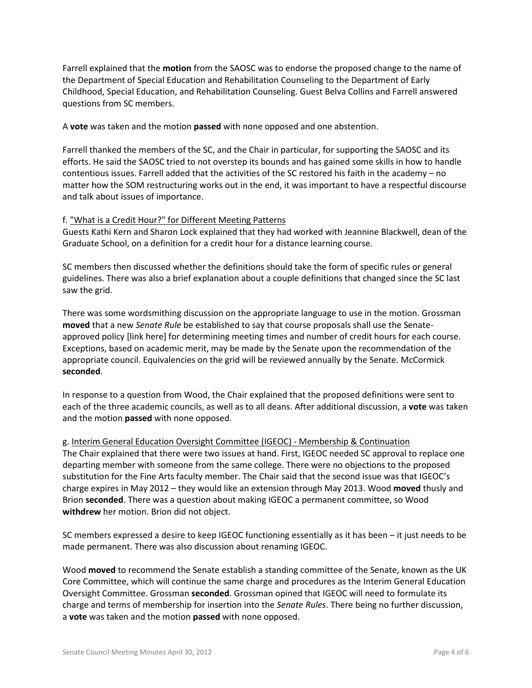Farrell explained that the **motion** from the SAOSC was to endorse the proposed change to the name of the Department of Special Education and Rehabilitation Counseling to the Department of Early Childhood, Special Education, and Rehabilitation Counseling. Guest Belva Collins and Farrell answered questions from SC members.

A **vote** was taken and the motion **passed** with none opposed and one abstention.

Farrell thanked the members of the SC, and the Chair in particular, for supporting the SAOSC and its efforts. He said the SAOSC tried to not overstep its bounds and has gained some skills in how to handle contentious issues. Farrell added that the activities of the SC restored his faith in the academy – no matter how the SOM restructuring works out in the end, it was important to have a respectful discourse and talk about issues of importance.

#### f. "What is a Credit Hour?" for Different Meeting Patterns

Guests Kathi Kern and Sharon Lock explained that they had worked with Jeannine Blackwell, dean of the Graduate School, on a definition for a credit hour for a distance learning course.

SC members then discussed whether the definitions should take the form of specific rules or general guidelines. There was also a brief explanation about a couple definitions that changed since the SC last saw the grid.

There was some wordsmithing discussion on the appropriate language to use in the motion. Grossman **moved** that a new *Senate Rule* be established to say that course proposals shall use the Senateapproved policy [link here] for determining meeting times and number of credit hours for each course. Exceptions, based on academic merit, may be made by the Senate upon the recommendation of the appropriate council. Equivalencies on the grid will be reviewed annually by the Senate. McCormick **seconded**.

In response to a question from Wood, the Chair explained that the proposed definitions were sent to each of the three academic councils, as well as to all deans. After additional discussion, a **vote** was taken and the motion **passed** with none opposed.

g. Interim General Education Oversight Committee (IGEOC) - Membership & Continuation The Chair explained that there were two issues at hand. First, IGEOC needed SC approval to replace one departing member with someone from the same college. There were no objections to the proposed substitution for the Fine Arts faculty member. The Chair said that the second issue was that IGEOC's charge expires in May 2012 – they would like an extension through May 2013. Wood **moved** thusly and Brion **seconded**. There was a question about making IGEOC a permanent committee, so Wood **withdrew** her motion. Brion did not object.

SC members expressed a desire to keep IGEOC functioning essentially as it has been – it just needs to be made permanent. There was also discussion about renaming IGEOC.

Wood **moved** to recommend the Senate establish a standing committee of the Senate, known as the UK Core Committee, which will continue the same charge and procedures as the Interim General Education Oversight Committee. Grossman **seconded**. Grossman opined that IGEOC will need to formulate its charge and terms of membership for insertion into the *Senate Rules*. There being no further discussion, a **vote** was taken and the motion **passed** with none opposed.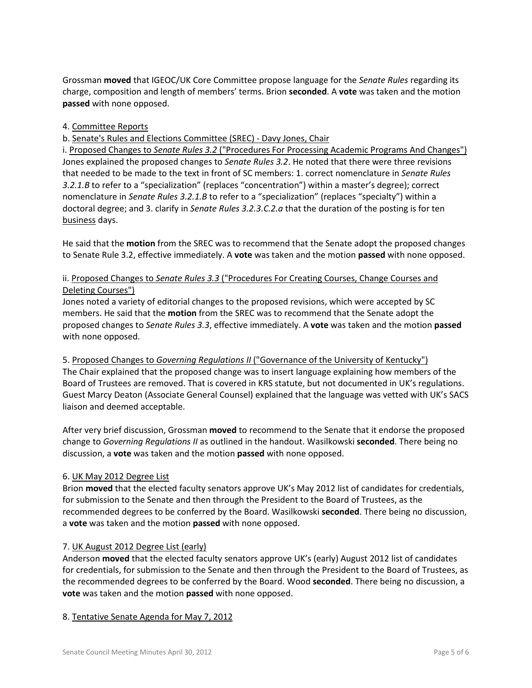Grossman **moved** that IGEOC/UK Core Committee propose language for the *Senate Rules* regarding its charge, composition and length of members' terms. Brion **seconded**. A **vote** was taken and the motion **passed** with none opposed.

## 4. Committee Reports

## b. Senate's Rules and Elections Committee (SREC) - Davy Jones, Chair

i. Proposed Changes to *Senate Rules 3.2* ("Procedures For Processing Academic Programs And Changes") Jones explained the proposed changes to *Senate Rules 3.2*. He noted that there were three revisions that needed to be made to the text in front of SC members: 1. correct nomenclature in *Senate Rules 3.2.1.B* to refer to a "specialization" (replaces "concentration") within a master's degree); correct nomenclature in *Senate Rules 3.2.1.B* to refer to a "specialization" (replaces "specialty") within a doctoral degree; and 3. clarify in *Senate Rules 3.2.3.C.2.a* that the duration of the posting is for ten business days.

He said that the **motion** from the SREC was to recommend that the Senate adopt the proposed changes to Senate Rule 3.2, effective immediately. A **vote** was taken and the motion **passed** with none opposed.

# ii. Proposed Changes to *Senate Rules 3.3* ("Procedures For Creating Courses, Change Courses and Deleting Courses")

Jones noted a variety of editorial changes to the proposed revisions, which were accepted by SC members. He said that the **motion** from the SREC was to recommend that the Senate adopt the proposed changes to *Senate Rules 3.3*, effective immediately. A **vote** was taken and the motion **passed** with none opposed.

5. Proposed Changes to *Governing Regulations II* ("Governance of the University of Kentucky") The Chair explained that the proposed change was to insert language explaining how members of the Board of Trustees are removed. That is covered in KRS statute, but not documented in UK's regulations. Guest Marcy Deaton (Associate General Counsel) explained that the language was vetted with UK's SACS liaison and deemed acceptable.

After very brief discussion, Grossman **moved** to recommend to the Senate that it endorse the proposed change to *Governing Regulations II* as outlined in the handout. Wasilkowski **seconded**. There being no discussion, a **vote** was taken and the motion **passed** with none opposed.

## 6. UK May 2012 Degree List

Brion **moved** that the elected faculty senators approve UK's May 2012 list of candidates for credentials, for submission to the Senate and then through the President to the Board of Trustees, as the recommended degrees to be conferred by the Board. Wasilkowski **seconded**. There being no discussion, a **vote** was taken and the motion **passed** with none opposed.

## 7. UK August 2012 Degree List (early)

Anderson **moved** that the elected faculty senators approve UK's (early) August 2012 list of candidates for credentials, for submission to the Senate and then through the President to the Board of Trustees, as the recommended degrees to be conferred by the Board. Wood **seconded**. There being no discussion, a **vote** was taken and the motion **passed** with none opposed.

## 8. Tentative Senate Agenda for May 7, 2012